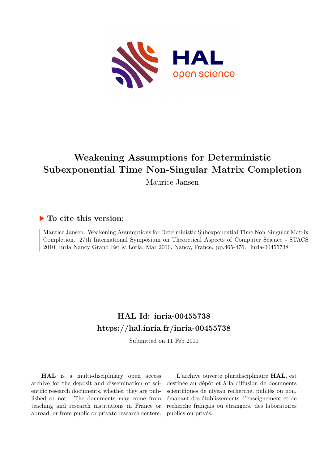

# **Weakening Assumptions for Deterministic Subexponential Time Non-Singular Matrix Completion**

Maurice Jansen

### **To cite this version:**

Maurice Jansen. Weakening Assumptions for Deterministic Subexponential Time Non-Singular Matrix Completion. 27th International Symposium on Theoretical Aspects of Computer Science - STACS 2010, Inria Nancy Grand Est & Loria, Mar 2010, Nancy, France. pp. 465-476. inria-00455738

## **HAL Id: inria-00455738 <https://hal.inria.fr/inria-00455738>**

Submitted on 11 Feb 2010

**HAL** is a multi-disciplinary open access archive for the deposit and dissemination of scientific research documents, whether they are published or not. The documents may come from teaching and research institutions in France or abroad, or from public or private research centers.

L'archive ouverte pluridisciplinaire **HAL**, est destinée au dépôt et à la diffusion de documents scientifiques de niveau recherche, publiés ou non, émanant des établissements d'enseignement et de recherche français ou étrangers, des laboratoires publics ou privés.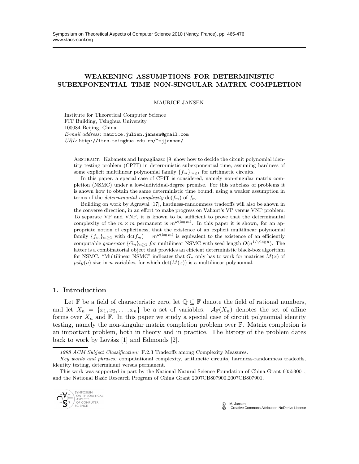#### WEAKENING ASSUMPTIONS FOR DETERMINISTIC SUBEXPONENTIAL TIME NON-SINGULAR MATRIX COMPLETION

MAURICE JANSEN

Institute for Theoretical Computer Science FIT Building, Tsinghua University 100084 Beijing, China. *E-mail address*: maurice.julien.jansen@gmail.com *URL*: http://itcs.tsinghua.edu.cn/~mjjansen/

Abstract. Kabanets and Impagliazzo [9] show how to decide the circuit polynomial identity testing problem (CPIT) in deterministic subexponential time, assuming hardness of some explicit multilinear polynomial family  $\{f_m\}_{m\geq 1}$  for arithmetic circuits.

In this paper, a special case of CPIT is considered, namely non-singular matrix completion (NSMC) under a low-individual-degree promise. For this subclass of problems it is shown how to obtain the same deterministic time bound, using a weaker assumption in terms of the *determinantal complexity*  $\text{dc}(f_m)$  of  $f_m$ .

Building on work by Agrawal [17], hardness-randomness tradeoffs will also be shown in the converse direction, in an effort to make progress on Valiant's VP versus VNP problem. To separate VP and VNP, it is known to be sufficient to prove that the determinantal complexity of the  $m \times m$  permanent is  $m^{\omega(\log m)}$ . In this paper it is shown, for an appropriate notion of explicitness, that the existence of an explicit multilinear polynomial family  $\{f_m\}_{m\geq 1}$  with  $\text{dc}(f_m) = m^{\omega(\log m)}$  is equivalent to the existence of an efficiently computable *generator*  $\{G_n\}_{n\geq 1}$  *for* multilinear NSMC with seed length  $O(n^{1/\sqrt{\log n}})$ . The latter is a combinatorial object that provides an efficient deterministic black-box algorithm for NSMC. "Multilinear NSMC" indicates that  $G_n$  only has to work for matrices  $M(x)$  of  $poly(n)$  size in n variables, for which  $det(M(x))$  is a multilinear polynomial.

#### 1. Introduction

Let F be a field of characteristic zero, let  $\mathbb{Q} \subseteq \mathbb{F}$  denote the field of rational numbers, and let  $X_n = \{x_1, x_2, \ldots, x_n\}$  be a set of variables.  $\mathcal{A}_{\mathbb{F}}(X_n)$  denotes the set of affine forms over  $X_n$  and  $\mathbb F$ . In this paper we study a special case of circuit polynomial identity testing, namely the non-singular matrix completion problem over F. Matrix completion is an important problem, both in theory and in practice. The history of the problem dates back to work by Lovász  $[1]$  and Edmonds  $[2]$ .

This work was supported in part by the National Natural Science Foundation of China Grant 60553001, and the National Basic Research Program of China Grant 2007CB807900,2007CB807901.



*<sup>1998</sup> ACM Subject Classification:* F.2.3 Tradeoffs among Complexity Measures.

*Key words and phrases:* computational complexity, arithmetic circuits, hardness-randomness tradeoffs, identity testing, determinant versus permanent.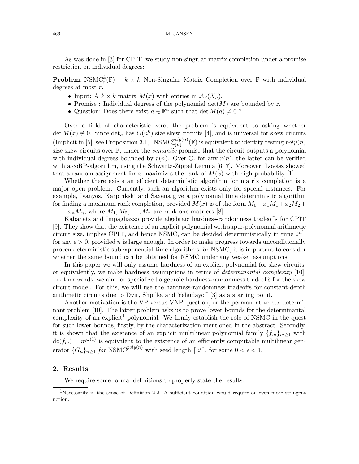As was done in [3] for CPIT, we study non-singular matrix completion under a promise restriction on individual degrees:

**Problem.** NSMC<sup>k</sup><sub>*r*</sub>( $F$ ) :  $k \times k$  Non-Singular Matrix Completion over  $F$  with individual degrees at most  $r$ .

- Input: A  $k \times k$  matrix  $M(x)$  with entries in  $\mathcal{A}_{\mathbb{F}}(X_n)$ .
- Promise : Individual degrees of the polynomial  $\det(M)$  are bounded by r.
- Question: Does there exist  $a \in \mathbb{F}^n$  such that  $\det M(a) \neq 0$ ?

Over a field of characteristic zero, the problem is equivalent to asking whether det  $M(x) \neq 0$ . Since det<sub>n</sub> has  $O(n^6)$  size skew circuits [4], and is universal for skew circuits (Implicit in [5], see Proposition 3.1), NSMC<sup>poly(n)</sup>(F) is equivalent to identity testing  $poly(n)$ size skew circuits over  $\mathbb{F}$ , under the *semantic* promise that the circuit outputs a polynomial with individual degrees bounded by  $r(n)$ . Over  $\mathbb{Q}$ , for any  $r(n)$ , the latter can be verified with a coRP-algorithm, using the Schwartz-Zippel Lemma  $[6, 7]$ . Moreover, Lovász showed that a random assignment for x maximizes the rank of  $M(x)$  with high probability [1].

Whether there exists an efficient deterministic algorithm for matrix completion is a major open problem. Currently, such an algorithm exists only for special instances. For example, Ivanyos, Karpinkski and Saxena give a polynomial time deterministic algorithm for finding a maximum rank completion, provided  $M(x)$  is of the form  $M_0+x_1M_1+x_2M_2+$  $\ldots + x_n M_n$ , where  $M_1, M_2, \ldots, M_n$  are rank one matrices [8].

Kabanets and Impagliazzo provide algebraic hardness-randomness tradeoffs for CPIT [9]. They show that the existence of an explicit polynomial with super-polynomial arithmetic circuit size, implies CPIT, and hence NSMC, can be decided deterministically in time  $2^{n^e}$ , for any  $\epsilon > 0$ , provided *n* is large enough. In order to make progress towards unconditionally proven deterministic subexponential time algorithms for NSMC, it is important to consider whether the same bound can be obtained for NSMC under any weaker assumptions.

In this paper we will only assume hardness of an explicit polynomial for skew circuits, or equivalently, we make hardness assumptions in terms of determinantal complexity [10]. In other words, we aim for specialized algebraic hardness-randomness tradeoffs for the skew circuit model. For this, we will use the hardness-randomness tradeoffs for constant-depth arithmetic circuits due to Dvir, Shpilka and Yehudayoff [3] as a starting point.

Another motivation is the VP versus VNP question, or the permanent versus determinant problem [10]. The latter problem asks us to prove lower bounds for the determinantal complexity of an explicit<sup>1</sup> polynomial. We firmly establish the role of NSMC in the quest for such lower bounds, firstly, by the characterization mentioned in the abstract. Secondly, it is shown that the existence of an explicit multilinear polynomial family  $\{f_m\}_{m\geq 1}$  with  $dc(f_m) = m^{\omega(1)}$  is equivalent to the existence of an efficiently computable multilinear generator  $\{G_n\}_{n\geq 1}$  for NSMC<sup>poly(n)</sup> with seed length  $\lceil n^{\epsilon} \rceil$ , for some  $0 < \epsilon < 1$ .

#### 2. Results

We require some formal definitions to properly state the results.

<sup>&</sup>lt;sup>1</sup>Necessarily in the sense of Definition 2.2. A sufficient condition would require an even more stringent notion.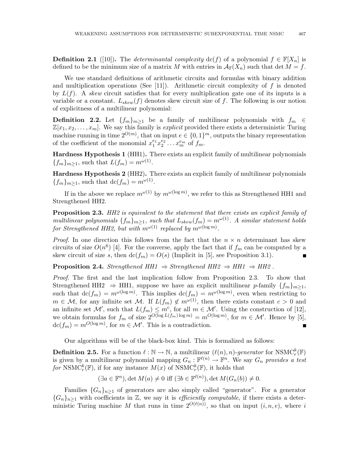**Definition 2.1** ([10]). The *determinantal complexity*  $dc(f)$  of a polynomial  $f \in \mathbb{F}[X_n]$  is defined to be the minimum size of a matrix M with entries in  $\mathcal{A}_{\mathbb{F}}(X_n)$  such that det  $M = f$ .

We use standard definitions of arithmetic circuits and formulas with binary addition and multiplication operations (See [11]). Arithmetic circuit complexity of  $f$  is denoted by  $L(f)$ . A skew circuit satisfies that for every multiplication gate one of its inputs is a variable or a constant.  $L_{skew}(f)$  denotes skew circuit size of f. The following is our notion of explicitness of a multilinear polynomial:

**Definition 2.2.** Let  $\{f_m\}_{m\geq 1}$  be a family of multilinear polynomials with  $f_m \in$  $\mathbb{Z}[x_1, x_2, \ldots, x_m]$ . We say this family is *explicit* provided there exists a deterministic Turing machine running in time  $2^{O(m)}$ , that on input  $e \in \{0,1\}^m$ , outputs the binary representation of the coefficient of the monomial  $x_1^{e_1} x_2^{e_2} \dots x_m^{e_m}$  of  $f_m$ .

Hardness Hypothesis 1 (HH1). There exists an explicit family of multilinear polynomials  ${f_m}_{m\geq 1}$ , such that  $L(f_m) = m^{\omega(1)}$ .

Hardness Hypothesis 2 (HH2). There exists an explicit family of multilinear polynomials  ${f_m}_{m\geq 1}$ , such that  $\text{dc}(f_m) = m^{\omega(1)}$ .

If in the above we replace  $m^{\omega(1)}$  by  $m^{\omega(\log m)}$ , we refer to this as Strengthened HH1 and Strengthened HH2.

**Proposition 2.3.** HH2 is equivalent to the statement that there exists an explicit family of multilinear polynomials  $\{f_m\}_{m\geq 1}$ , such that  $L_{skew}(f_m) = m^{\omega(1)}$ . A similar statement holds for Strengthened HH2, but with  $m^{\omega(1)}$  replaced by  $m^{\omega(\log m)}$ .

*Proof.* In one direction this follows from the fact that the  $n \times n$  determinant has skew circuits of size  $O(n^6)$  [4]. For the converse, apply the fact that if  $f_m$  can be computed by a skew circuit of size s, then  $dc(f_m) = O(s)$  (Implicit in [5], see Proposition 3.1).  $\blacksquare$ 

**Proposition 2.4.** Strengthened HH1  $\Rightarrow$  Strengthened HH2  $\Rightarrow$  HH1  $\Rightarrow$  HH2.

Proof. The first and the last implication follow from Proposition 2.3. To show that Strengthened HH2  $\Rightarrow$  HH1, suppose we have an explicit multilinear p-family  $\{f_m\}_{m>1}$ , such that  $\text{dc}(f_m) = m^{\omega(\log m)}$ . This implies  $\text{dc}(f_m) = m^{\omega(\log m)}$ , even when restricting to  $m \in \mathcal{M}$ , for any infinite set M. If  $L(f_m) \notin m^{\omega(1)}$ , then there exists constant  $c > 0$  and an infinite set  $\mathcal{M}'$ , such that  $L(f_m) \leq m^c$ , for all  $m \in \mathcal{M}'$ . Using the construction of [12], we obtain formulas for  $f_m$  of size  $2^{O(\log L(f_m)\log m)} = m^{O(\log m)}$ , for  $m \in \mathcal{M}'$ . Hence by [5],  $\mathrm{dc}(f_m) = m^{O(\log m)}$ , for  $m \in \mathcal{M}'$ . This is a contradiction.

Our algorithms will be of the black-box kind. This is formalized as follows:

**Definition 2.5.** For a function  $\ell : \mathbb{N} \to \mathbb{N}$ , a multilinear  $(\ell(n), n)$ -generator for  $NSMC_r^k(\mathbb{F})$ is given by a multilinear polynomial mapping  $G_n: \mathbb{F}^{\ell(n)} \to \mathbb{F}^n$ . We say  $G_n$  provides a test for NSMC<sup>k</sup><sub>(</sub> $\mathbb{F}$ ), if for any instance  $M(x)$  of NSMC<sup>k</sup><sub>(</sub> $\mathbb{F}$ ), it holds that

$$
(\exists a \in \mathbb{F}^n), \det M(a) \neq 0 \text{ iff } (\exists b \in \mathbb{F}^{\ell(n)}), \det M(G_n(b)) \neq 0.
$$

Families  ${G_n}_{n\geq 1}$  of generators are also simply called "generator". For a generator  ${G_n}_{n\geq 1}$  with coefficients in Z, we say it is *efficiently computable*, if there exists a deterministic Turing machine M that runs in time  $2^{O(\ell(n))}$ , so that on input  $(i, n, e)$ , where i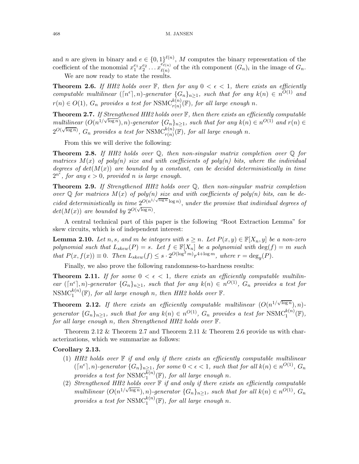and *n* are given in binary and  $e \in \{0,1\}^{\ell(n)}$ , *M* computes the binary representation of the coefficient of the monomial  $x_1^{e_1} x_2^{e_2} \ldots x_{\ell(n)}^{e_{\ell(n)}}$  $\ell_{\ell(n)}^{e_{\ell(n)}}$  of the *i*th component  $(G_n)_i$  in the image of  $G_n$ .

We are now ready to state the results.

**Theorem 2.6.** If HH2 holds over  $\mathbb{F}$ , then for any  $0 < \epsilon < 1$ , there exists an efficiently computable multilinear  $(\lceil n^{\epsilon} \rceil, n)$ -generator  $\{G_n\}_{n\geq 1}$ , such that for any  $k(n) \in n^{O(1)}$  and  $r(n) \in O(1)$ ,  $G_n$  provides a test for  $\mathrm{NSMC}_{r(n)}^{k(n)}(\mathbb{F})$ , for all large enough n.

**Theorem 2.7.** If Strengthened HH2 holds over  $\mathbb{F}$ , then there exists an efficiently computable multilinear  $(O(n^{1/\sqrt{\log n}}), n)$ -generator  $\{G_n\}_{n\geq 1}$ , such that for any  $k(n) \in n^{O(1)}$  and  $r(n) \in$  $2^{O(\sqrt{\log n})}$ ,  $G_n$  provides a test for  $\text{NSMC}_{r(n)}^{k(n)}(\mathbb{F})$ , for all large enough n.

From this we will derive the following:

**Theorem 2.8.** If HH2 holds over  $\mathbb{O}$ , then non-singular matrix completion over  $\mathbb{O}$  for matrices  $M(x)$  of poly(n) size and with coefficients of poly(n) bits, where the individual degrees of  $det(M(x))$  are bounded by a constant, can be decided deterministically in time  $2^{n^{\epsilon}}$ , for any  $\epsilon > 0$ , provided n is large enough.

**Theorem 2.9.** If Strengthened HH2 holds over  $\mathbb{Q}$ , then non-singular matrix completion over  $\mathbb Q$  for matrices  $M(x)$  of poly(n) size and with coefficients of poly(n) bits, can be decided deterministically in time  $2^{O(n^{1/\sqrt{\log n}} \log n)}$ , under the promise that individual degrees of  $det(M(x))$  are bounded by  $2^{O(\sqrt{\log n})}$ .

A central technical part of this paper is the following "Root Extraction Lemma" for skew circuits, which is of independent interest:

**Lemma 2.10.** Let n, s, and m be integers with  $s \geq n$ . Let  $P(x, y) \in \mathbb{F}[X_n, y]$  be a non-zero polynomial such that  $L_{skew}(P) = s$ . Let  $f \in \mathbb{F}[X_n]$  be a polynomial with  $\deg(f) = m$  such that  $P(x, f(x)) \equiv 0$ . Then  $L_{skew}(f) \leq s \cdot 2^{O(\log^2 m)} r^{4 + \log m}$ , where  $r = \deg_y(P)$ .

Finally, we also prove the following randomness-to-hardness results:

**Theorem 2.11.** If for some  $0 < \epsilon < 1$ , there exists an efficiently computable multilinear  $(\lceil n^{\epsilon} \rceil, n)$ -generator  $\{G_n\}_{n\geq 1}$ , such that for any  $k(n) \in n^{O(1)}$ ,  $G_n$  provides a test for  $\text{NSMC}_1^{k(n)}(\mathbb{F}),$  for all large enough n, then HH2 holds over  $\mathbb{F}.$ 

**Theorem 2.12.** If there exists an efficiently computable multilinear  $(O(n^{1/\sqrt{\log n}}), n)$ generator  $\{G_n\}_{n\geq 1}$ , such that for any  $k(n) \in n^{O(1)}$ ,  $G_n$  provides a test for  $NSMC_1^{k(n)}(\mathbb{F})$ , for all large enough n, then Strengthened HH2 holds over F.

Theorem 2.12  $\&$  Theorem 2.7 and Theorem 2.11  $\&$  Theorem 2.6 provide us with characterizations, which we summarize as follows:

#### Corollary 2.13.

- (1) HH2 holds over  $\mathbb F$  if and only if there exists an efficiently computable multilinear  $(\lceil n^{\epsilon} \rceil, n)$ -generator  $\{G_n\}_{n \geq 1, \atop n \geq 1}$ , for some  $0 < \epsilon < 1$ , such that for all  $k(n) \in n^{O(1)}$ ,  $G_n$ provides a test for  $\mathrm{NSMC}_1^{k(n)}(\mathbb{F})$ , for all large enough n.
- (2) Strengthened HH2 holds over  $\mathbb{F}$  if and only if there exists an efficiently computable multilinear  $(O(n^{1/\sqrt{\log n}}), n)$ -generator  $\{G_n\}_{n\geq 1}$ , such that for all  $k(n) \in n^{O(1)}$ ,  $G_n$ provides a test for  $\mathrm{NSMC}_1^{k(n)}(\mathbb{F})$ , for all large enough n.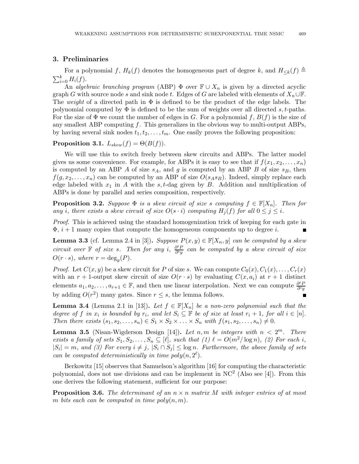#### 3. Preliminaries

For a polynomial f,  $H_k(f)$  denotes the homogeneous part of degree k, and  $H_{\leq k}(f) \triangleq$  $\sum_{i=0}^k H_i(f)$ .

An algebraic branching program (ABP)  $\Phi$  over  $\mathbb{F} \cup X_n$  is given by a directed acyclic graph G with source node s and sink node t. Edges of G are labeled with elements of  $X_n\cup\mathbb{F}$ . The weight of a directed path in  $\Phi$  is defined to be the product of the edge labels. The polynomial computed by  $\Phi$  is defined to be the sum of weights over all directed s, t-paths. For the size of  $\Phi$  we count the number of edges in G. For a polynomial f,  $B(f)$  is the size of any smallest ABP computing  $f$ . This generalizes in the obvious way to multi-output ABPs, by having several sink nodes  $t_1, t_2, \ldots, t_m$ . One easily proves the following proposition:

Proposition 3.1.  $L_{skew}(f) = \Theta(B(f)).$ 

We will use this to switch freely between skew circuits and ABPs. The latter model gives us some convenience. For example, for ABPs it is easy to see that if  $f(x_1, x_2, \ldots, x_n)$ is computed by an ABP A of size  $s_A$ , and g is computed by an ABP B of size  $s_B$ , then  $f(g, x_2, \ldots, x_n)$  can be computed by an ABP of size  $O(s_A s_B)$ . Indeed, simply replace each edge labeled with  $x_1$  in A with the s, t-dag given by B. Addition and multiplication of ABPs is done by parallel and series composition, respectively.

**Proposition 3.2.** Suppose  $\Phi$  is a skew circuit of size s computing  $f \in \mathbb{F}[X_n]$ . Then for any i, there exists a skew circuit of size  $O(s \cdot i)$  computing  $H_i(f)$  for all  $0 \leq j \leq i$ .

Proof. This is achieved using the standard homogenization trick of keeping for each gate in  $\Phi$ ,  $i+1$  many copies that compute the homogeneous components up to degree i.

**Lemma 3.3** (cf. Lemma 2.4 in [3]). Suppose  $P(x, y) \in \mathbb{F}[X_n, y]$  can be computed by a skew circuit over  $\mathbb F$  of size s. Then for any i,  $\frac{\partial^i P}{\partial w_i}$  $\frac{\partial^2 P}{\partial^i y}$  can be computed by a skew circuit of size  $O(r \cdot s)$ , where  $r = deg_y(P)$ .

*Proof.* Let  $C(x, y)$  be a skew circuit for P of size s. We can compute  $C_0(x), C_1(x), \ldots, C_r(x)$ with an  $r + 1$ -output skew circuit of size  $O(r \cdot s)$  by evaluating  $C(x, a_i)$  at  $r + 1$  distinct elements  $a_1, a_2, \ldots, a_{r+1} \in \mathbb{F}$ , and then use linear interpolation. Next we can compute  $\frac{\partial^i F}{\partial^i u}$  $\overline{\partial^{i} y}$ by adding  $O(r^2)$  many gates. Since  $r \leq s$ , the lemma follows.

**Lemma 3.4** (Lemma 2.1 in [13]). Let  $f \in \mathbb{F}[X_n]$  be a non-zero polynomial such that the degree of f in  $x_i$  is bounded by  $r_i$ , and let  $S_i \subseteq \mathbb{F}$  be of size at least  $r_i + 1$ , for all  $i \in [n]$ . Then there exists  $(s_1, s_2, \ldots, s_n) \in S_1 \times S_2 \times \ldots \times S_n$  with  $f(s_1, s_2, \ldots, s_n) \neq 0$ .

**Lemma 3.5** (Nisan-Wigderson Design [14]). Let n, m be integers with  $n < 2^m$ . There exists a family of sets  $S_1, S_2, \ldots, S_n \subseteq [\ell],$  such that  $(1) \ell = O(m^2/\log n), (2)$  For each i,  $|S_i| = m$ , and (3) For every  $i \neq j$ ,  $|S_i \cap S_j| \leq \log n$ . Furthermore, the above family of sets can be computed deterministically in time  $poly(n, 2^{\ell}).$ 

Berkowitz [15] observes that Samuelson's algorithm [16] for computing the characteristic polynomial, does not use divisions and can be implement in  $NC^2$  (Also see [4]). From this one derives the following statement, sufficient for our purpose:

**Proposition 3.6.** The determinant of an  $n \times n$  matrix M with integer entries of at most m bits each can be computed in time  $poly(n, m)$ .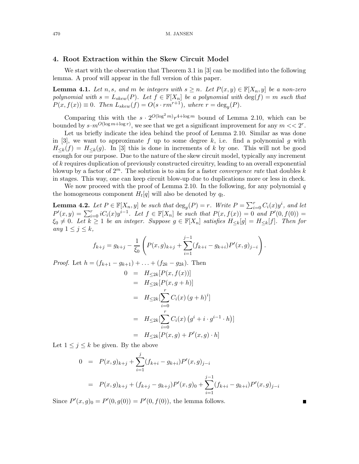#### 4. Root Extraction within the Skew Circuit Model

We start with the observation that Theorem 3.1 in [3] can be modified into the following lemma. A proof will appear in the full version of this paper.

**Lemma 4.1.** Let n, s, and m be integers with  $s \geq n$ . Let  $P(x, y) \in \mathbb{F}[X_n, y]$  be a non-zero polynomial with  $s = L_{skew}(P)$ . Let  $f \in \mathbb{F}[X_n]$  be a polynomial with  $deg(f) = m$  such that  $P(x, f(x)) \equiv 0$ . Then  $L_{skew}(f) = O(s \cdot rm^{r+1})$ , where  $r = deg_y(P)$ .

Comparing this with the  $s \cdot 2^{O(\log^2 m)} r^{4 + \log m}$  bound of Lemma 2.10, which can be bounded by  $s \cdot m^{O(\log m + \log r)}$ , we see that we get a significant improvement for any  $m << 2<sup>r</sup>$ .

Let us briefly indicate the idea behind the proof of Lemma 2.10. Similar as was done in [3], we want to approximate f up to some degree k, i.e. find a polynomial g with  $H_{\leq k}(f) = H_{\leq k}(g)$ . In [3] this is done in increments of k by one. This will not be good enough for our purpose. Due to the nature of the skew circuit model, typically any increment of k requires duplication of previously constructed circuitry, leading to an overall exponential blowup by a factor of  $2^m$ . The solution is to aim for a faster *convergence rate* that doubles k in stages. This way, one can keep circuit blow-up due to duplications more or less in check.

We now proceed with the proof of Lemma 2.10. In the following, for any polynomial  $q$ the homogeneous component  $H_t[q]$  will also be denoted by  $q_t$ .

**Lemma 4.2.** Let  $P \in \mathbb{F}[X_n, y]$  be such that  $\deg_y(P) = r$ . Write  $P = \sum_{i=0}^r C_i(x) y^i$ , and let  $P'(x,y) = \sum_{i=0}^{r} iC_i(x)y^{i-1}$ . Let  $f \in \mathbb{F}[X_n]$  be such that  $P(x, f(x)) = 0$  and  $P'(0, f(0)) = 0$ .  $\xi_0 \neq 0$ . Let  $k \geq 1$  be an integer. Suppose  $g \in \mathbb{F}[X_n]$  satisfies  $H_{\leq k}[g] = H_{\leq k}[f]$ . Then for any  $1 \leq j \leq k$ ,

$$
f_{k+j} = g_{k+j} - \frac{1}{\xi_0} \left( P(x,g)_{k+j} + \sum_{i=1}^{j-1} (f_{k+i} - g_{k+i}) P'(x,g)_{j-i} \right).
$$

*Proof.* Let  $h = (f_{k+1} - g_{k+1}) + \ldots + (f_{2k} - g_{2k})$ . Then

$$
0 = H_{\leq 2k}[P(x, f(x))]
$$
  
=  $H_{\leq 2k}[P(x, g+h)]$   
=  $H_{\leq 2k}[\sum_{i=0}^{r} C_i(x) (g+h)^i]$   
=  $H_{\leq 2k}[\sum_{i=0}^{r} C_i(x) (g^i + i \cdot g^{i-1} \cdot h)]$   
=  $H_{\leq 2k}[P(x, g) + P'(x, g) \cdot h]$ 

Let  $1 \leq j \leq k$  be given. By the above

$$
0 = P(x, g)_{k+j} + \sum_{i=1}^{j} (f_{k+i} - g_{k+i}) P'(x, g)_{j-i}
$$
  
= 
$$
P(x, g)_{k+j} + (f_{k+j} - g_{k+j}) P'(x, g)_{0} + \sum_{i=1}^{j-1} (f_{k+i} - g_{k+i}) P'(x, g)_{j-i}
$$

 $\blacksquare$ 

Since  $P'(x, g)_0 = P'(0, g(0)) = P'(0, f(0))$ , the lemma follows.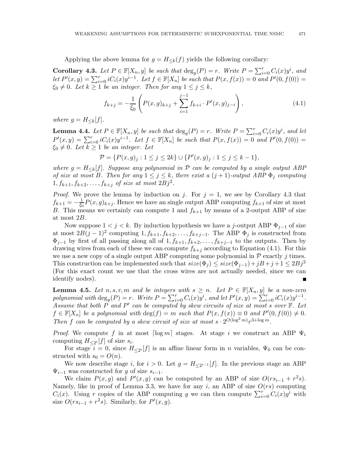Applying the above lemma for  $g = H_{\leq k}(f)$  yields the following corollary:

**Corollary 4.3.** Let  $P \in \mathbb{F}[X_n, y]$  be such that  $\deg_y(P) = r$ . Write  $P = \sum_{i=0}^r C_i(x) y^i$ , and let  $P'(x,y) = \sum_{i=0}^{r} iC_i(x)y^{i-1}$ . Let  $f \in \mathbb{F}[X_n]$  be such that  $P(x, f(x)) = 0$  and  $P'(0, f(0)) = 0$  $\xi_0 \neq 0$ . Let  $k \geq 1$  be an integer. Then for any  $1 \leq j \leq k$ ,

$$
f_{k+j} = -\frac{1}{\xi_0} \left( P(x,g)_{k+j} + \sum_{i=1}^{j-1} f_{k+i} \cdot P'(x,g)_{j-i} \right), \tag{4.1}
$$

where  $g = H_{\leq k}[f]$ .

**Lemma 4.4.** Let  $P \in \mathbb{F}[X_n, y]$  be such that  $\deg_y(P) = r$ . Write  $P = \sum_{i=0}^r C_i(x) y^i$ , and let  $P'(x,y) = \sum_{i=0}^{r} iC_i(x)y^{i-1}$ . Let  $f \in \mathbb{F}[X_n]$  be such that  $P(x, f(x)) = 0$  and  $P'(0, f(0)) = 0$ .  $\xi_0 \neq 0$ . Let  $k \geq 1$  be an integer. Let

$$
\mathcal{P} = \{ P(x, g)_j : 1 \le j \le 2k \} \cup \{ P'(x, g)_j : 1 \le j \le k - 1 \},\
$$

where  $g = H_{\leq k}[f]$ . Suppose any polynomial in P can be computed by a single output ABP of size at most B. Then for any  $1 \leq j \leq k$ , there exist a  $(j + 1)$ -output ABP  $\Phi_j$  computing  $1, f_{k+1}, f_{k+2}, \ldots, f_{k+j}$  of size at most  $2Bj^2$ .

*Proof.* We prove the lemma by induction on j. For  $j = 1$ , we see by Corollary 4.3 that  $f_{k+1} = -\frac{1}{\xi_0}$  $\frac{1}{\xi_0}P(x,g)_{k+j}$ . Hence we have an single output ABP computing  $f_{k+1}$  of size at most B. This means we certainly can compute 1 and  $f_{k+1}$  by means of a 2-output ABP of size at most 2B.

Now suppose  $1 < j < k$ . By induction hypothesis we have a j-output ABP  $\Phi_{j-1}$  of size at most  $2B(j-1)^2$  computing  $1, f_{k+1}, f_{k+2}, \ldots, f_{k+j-1}$ . The ABP  $\Phi_j$  is constructed from  $\Phi_{j-1}$  by first of all passing along all of  $1, f_{k+1}, f_{k+2}, \ldots, f_{k+j-1}$  to the outputs. Then by drawing wires from each of these we can compute  $f_{k+j}$  according to Equation (4.1). For this we use a new copy of a single output ABP computing some polynomial in  $P$  exactly j times. This construction can be implemented such that  $size(\Phi_i) \leq size(\Phi_{i-1}) + jB + j + 1 \leq 2Bj^2$ (For this exact count we use that the cross wires are not actually needed, since we can identify nodes).

**Lemma 4.5.** Let  $n, s, r, m$  and be integers with  $s \geq n$ . Let  $P \in \mathbb{F}[X_n, y]$  be a non-zero polynomial with  $\deg_y(P) = r$ . Write  $P = \sum_{i=0}^r C_i(x) y^i$ , and let  $P'(x, y) = \sum_{i=0}^r i C_i(x) y^{i-1}$ . Assume that both P and P' can be computed by skew circuits of size at most s over  $\mathbb{F}$ . Let  $f \in \mathbb{F}[X_n]$  be a polynomial with  $\deg(f) = m$  such that  $P(x, f(x)) \equiv 0$  and  $P'(0, f(0)) \neq 0$ . Then f can be computed by a skew circuit of size at most  $s \cdot 2^{O(\log^2 m)} r^{3 + \log m}$ .

*Proof.* We compute f in at most  $\lceil \log m \rceil$  stages. At stage i we construct an ABP  $\Psi_i$ computing  $H_{\leq 2^i}[f]$  of size  $s_i$ .

For stage  $i = 0$ , since  $H_{\leq 2}$  [f] is an affine linear form in n variables,  $\Psi_0$  can be constructed with  $s_0 = O(n)$ .

We now describe stage i, for  $i > 0$ . Let  $g = H_{\leq 2^{i-1}}[f]$ . In the previous stage an ABP  $\Psi_{i-1}$  was constructed for g of size  $s_{i-1}$ .

We claim  $P(x, g)$  and  $P'(x, g)$  can be computed by an ABP of size  $O(rs_{i-1} + r^2s)$ . Namely, like in proof of Lemma 3.3, we have for any i, an ABP of size  $O(rs)$  computing  $C_i(x)$ . Using r copies of the ABP computing g we can then compute  $\sum_{i=0}^{r} C_i(x)g^i$  with size  $O(rs_{i-1} + r^2s)$ . Similarly, for  $P'(x, g)$ .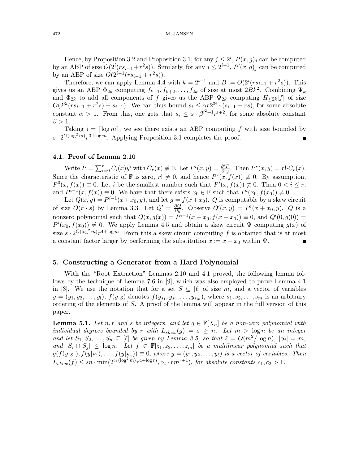Hence, by Proposition 3.2 and Proposition 3.1, for any  $j \leq 2^i$ ,  $P(x, g)_j$  can be computed by an ABP of size  $O(2^{i}(rs_{i-1}+r^2s))$ . Similarly, for any  $j \leq 2^{i-1}$ ,  $P'(x, g)_j$  can be computed by an ABP of size  $O(2^{i-1}(rs_{i-1} + r^2s)).$ 

Therefore, we can apply Lemma 4.4 with  $k = 2^{i-1}$  and  $B := O(2^{i}(rs_{i-1} + r^{2}s))$ . This gives us an ABP  $\Phi_{2k}$  computing  $f_{k+1}, f_{k+2}, \ldots, f_{2k}$  of size at most  $2Bk^2$ . Combining  $\Psi_k$ and  $\Phi_{2k}$  to add all components of f gives us the ABP  $\Psi_{2k}$  computing  $H_{\leq 2k}[f]$  of size  $O(2^{3i}(rs_{i-1}+r^2s)+s_{i-1})$ . We can thus bound  $s_i \leq \alpha r 2^{3i} \cdot (s_{i-1}+rs)$ , for some absolute constant  $\alpha > 1$ . From this, one gets that  $s_i \leq s \cdot \beta^{i^2+1} r^{i+2}$ , for some absolute constant  $\beta > 1$ .

Taking  $i = \lceil \log m \rceil$ , we see there exists an ABP computing f with size bounded by  $s \cdot 2^{O(\log^2 m)} r^{3 + \log m}$ . Applying Proposition 3.1 completes the proof.

#### 4.1. Proof of Lemma 2.10

Write  $P = \sum_{i=0}^{r} C_i(x) y^i$  with  $C_r(x) \neq 0$ . Let  $P^i(x, y) = \frac{\partial^i P}{\partial^i y}$  $\frac{\partial^i P}{\partial^i y}$ . Then  $P^r(x, y) = r! \cdot C_r(x)$ . Since the characteristic of F is zero,  $r! \neq 0$ , and hence  $P^r(x, f(x)) \neq 0$ . By assumption,  $P^{0}(x, f(x)) \equiv 0$ . Let i be the smallest number such that  $P^{i}(x, f(x)) \not\equiv 0$ . Then  $0 < i \leq r$ , and  $P^{i-1}(x, f(x)) \equiv 0$ . We have that there exists  $x_0 \in \mathbb{F}$  such that  $P^i(x_0, f(x_0)) \neq 0$ .

Let  $Q(x, y) = P^{i-1}(x + x_0, y)$ , and let  $g = f(x + x_0)$ . Q is computable by a skew circuit of size  $O(r \cdot s)$  by Lemma 3.3. Let  $Q' = \frac{\partial Q}{\partial y}$ . Observe  $Q'(x, y) = P^{i}(x + x_0, y)$ . Q is a nonzero polynomial such that  $Q(x, g(x)) = P^{i-1}(x + x_0, f(x + x_0)) \equiv 0$ , and  $Q'(0, g(0)) =$  $P^{i}(x_0, f(x_0)) \neq 0$ . We apply Lemma 4.5 and obtain a skew circuit  $\Psi$  computing  $g(x)$  of size  $s \cdot 2^{O(\log^2 m)} r^{4 + \log m}$ . From this a skew circuit computing f is obtained that is at most a constant factor larger by performing the substitution  $x := x - x_0$  within  $\Psi$ .

#### 5. Constructing a Generator from a Hard Polynomial

With the "Root Extraction" Lemmas 2.10 and 4.1 proved, the following lemma follows by the technique of Lemma 7.6 in [9], which was also employed to prove Lemma 4.1 in [3]. We use the notation that for a set  $S \subseteq [\ell]$  of size m, and a vector of variables  $y = (y_1, y_2, \ldots, y_l)$ ,  $f(y|_S)$  denotes  $f(y_{s_1}, y_{s_2}, \ldots, y_{s_m})$ , where  $s_1, s_2, \ldots, s_m$  is an arbitrary ordering of the elements of S. A proof of the lemma will appear in the full version of this paper.

**Lemma 5.1.** Let n,r and s be integers, and let  $g \in \mathbb{F}[X_n]$  be a non-zero polynomial with individual degrees bounded by r with  $L_{skew}(g) = s \geq n$ . Let  $m > \log n$  be an integer and let  $S_1, S_2, \ldots, S_n \subseteq [\ell]$  be given by Lemma 3.5, so that  $\ell = O(m^2/\log n)$ ,  $|S_i| = m$ , and  $|S_i \cap S_j| \leq \log n$ . Let  $f \in \mathbb{F}[z_1, z_2, \ldots, z_m]$  be a multilinear polynomial such that  $g(f(y|_{S_1}), f(y|_{S_2}), \ldots, f(y|_{S_n})) \equiv 0$ , where  $y = (y_1, y_2, \ldots, y_\ell)$  is a vector of variables. Then  $L_{skew}(f) \leq sn \cdot \min(2^{c_1(\log^2 m)} r^{4 + \log m}, c_2 \cdot rm^{r+1}),$  for absolute constants  $c_1, c_2 > 1$ .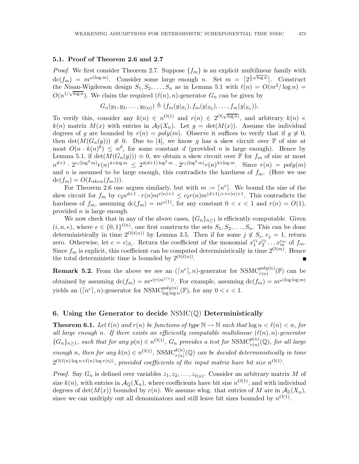#### 5.1. Proof of Theorem 2.6 and 2.7

*Proof.* We first consider Theorem 2.7. Suppose  $\{f_m\}$  is an explicit multilinear family with  $\text{dc}(f_m) = m^{\omega(\log m)}$ . Consider some large enough n. Set  $m = \lceil 2^{\frac{1}{2}\sqrt{\log n}} \rceil$ . Construct the Nisan-Wigderson design  $S_1, S_2, \ldots, S_n$  as in Lemma 5.1 with  $\ell(n) = O(m^2/\log n)$  $O(n^{1/\sqrt{\log n}})$ . We claim the required  $(\ell(n), n)$ -generator  $G_n$  can be given by

$$
G_n(y_1, y_2, \ldots, y_{\ell(n)}) \triangleq (f_m(y|_{S_1}), f_m(y|_{S_2}), \ldots, f_m(y|_{S_n})),
$$

To verify this, consider any  $k(n) \in n^{O(1)}$  and  $r(n) \in 2^{O(\sqrt{\log n})}$ , and arbitrary  $k(n) \times$  $k(n)$  matrix  $M(x)$  with entries in  $\mathcal{A}_{\mathbb{F}}(X_n)$ . Let  $g = \det(M(x))$ . Assume the individual degrees of g are bounded by  $r(n) = poly(m)$ . Observe it suffices to verify that if  $g \neq 0$ , then  $\det(M(G_n(y))) \neq 0$ . Due to [4], we know g has a skew circuit over F of size at most  $O(n \cdot k(n)^6) \leq n^d$ , for some constant d (provided n is large enough). Hence by Lemma 5.1, if  $\det(M(G_n(y))) \equiv 0$ , we obtain a skew circuit over F for  $f_m$  of size at most  $n^{d+1} \cdot 2^{c_1(\log^2 m)} r(n)^{4+\log m} \leq 2^{4(d+1)\log^2 m} \cdot 2^{c_1(\log^2 m)} r(n)^{4+\log m}$ . Since  $r(n) = poly(m)$ and n is assumed to be large enough, this contradicts the hardness of  $f_m$ . (Here we use  $dc(f_m) = O(L_{skew}(f_m))).$ 

For Theorem 2.6 one argues similarly, but with  $m := [n^{\epsilon}]$ . We bound the size of the skew circuit for  $f_m$  by  $c_2n^{d+1} \cdot r(n)m^{r(n)+1} \le c_2r(n)m^{(d+1)/\epsilon+r(n)+1}$ . This contradicts the hardness of  $f_m$ , assuming  $dc(f_m) = m^{\omega(1)}$ , for any constant  $0 < \epsilon < 1$  and  $r(n) = O(1)$ , provided  $n$  is large enough.

We now check that in any of the above cases,  $\{G_n\}_{n>1}$  is efficiently computable. Given  $(i, n, e)$ , where  $e \in \{0, 1\}^{\ell(n)}$ , one first constructs the sets  $S_1, S_2, \ldots, S_n$ . This can be done deterministically in time  $2^{O(\ell(n))}$  by Lemma 3.5. Then if for some  $j \notin S_i$ ,  $e_j = 1$ , return zero. Otherwise, let  $c = e|_{S_i}$ . Return the coefficient of the monomial  $x_1^{c_1} x_2^{c_2} \dots x_m^{c_m}$  of  $f_m$ . Since  $f_m$  is explicit, this coefficient can be computed deterministically in time  $2^{O(m)}$ . Hence the total deterministic time is bounded by  $2^{O(\ell(n))}$ .  $\blacksquare$ 

**Remark 5.2.** From the above we see an  $(\lceil n^{\epsilon} \rceil, n)$ -generator for  $NSMC_{r(n)}^{poly(n)}(\mathbb{F})$  can be obtained by assuming  $dc(f_m) = m^{\omega(r(m^{1/\epsilon}))}$ . For example, assuming  $dc(f_m) = m^{\omega(\log \log m)}$ yields an  $(\lceil n^{\epsilon} \rceil, n)$ -generator for  $\mathrm{NSMC}_{\log \log n}^{poly(n)}(\mathbb{F})$ , for any  $0 < \epsilon < 1$ .

#### 6. Using the Generator to decide  $NSMC(\mathbb{Q})$  Deterministically

**Theorem 6.1.** Let  $\ell(n)$  and  $r(n)$  be functions of type  $\mathbb{N} \to \mathbb{N}$  such that  $\log n < \ell(n) < n$ , for all large enough n. If there exists an efficiently computable multilinear  $(\ell(n), n)$ -generator  ${G_n}_{n \geq 1}$ , such that for any  $p(n) \in n^{O(1)}$ ,  $G_n$  provides a test for  $\text{NSMC}_{r(n)}^{p(n)}(\mathbb{Q})$ , for all large enough n, then for any  $k(n) \in n^{O(1)}$ , NSMC $_{r(n)}^{k(n)}(\mathbb{Q})$  can be decided deterministically in time  $2^{O(\ell(n)\log n + \ell(n)\log r(n))}$ , provided coefficients of the input matrix have bit size  $n^{O(1)}$ .

*Proof.* Say  $G_n$  is defined over variables  $z_1, z_2, \ldots, z_{\ell(n)}$ . Consider an arbitrary matrix M of size  $k(n)$ , with entries in  $\mathcal{A}_{\mathbb{Q}}(X_n)$ , where coefficients have bit size  $n^{O(1)}$ , and with individual degrees of det( $M(x)$ ) bounded by  $r(n)$ . We assume wlog. that entries of M are in  $A_{\mathbb{Z}}(X_n)$ , since we can multiply out all denominators and still leave bit sizes bounded by  $n^{O(1)}$ .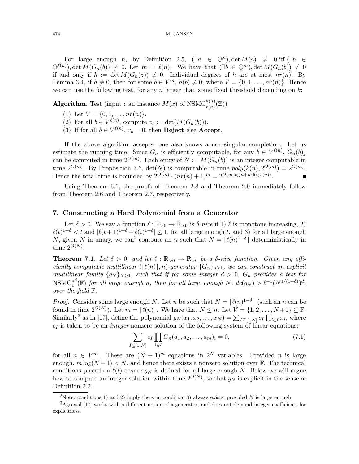For large enough n, by Definition 2.5,  $(\exists a \in \mathbb{Q}^n)$ , det  $M(a) \neq 0$  iff  $(\exists b \in \mathbb{Q}^n)$  $\mathbb{Q}^{\ell(n)}$ , det  $M(G_n(b)) \neq 0$ . Let  $m = \ell(n)$ . We have that  $(\exists b \in \mathbb{Q}^m)$ , det  $M(G_n(b)) \neq 0$ if and only if  $h := \det M(G_n(z)) \neq 0$ . Individual degrees of h are at most  $nr(n)$ . By Lemma 3.4, if  $h \neq 0$ , then for some  $b \in V^m$ ,  $h(b) \neq 0$ , where  $V = \{0, 1, \ldots, nr(n)\}$ . Hence we can use the following test, for any  $n \text{ larger than some fixed threshold depending on } k$ :

**Algorithm.** Test (input : an instance  $M(x)$  of  $NSMC_{r(n)}^{k(n)}(\mathbb{Z})$ )

- (1) Let  $V = \{0, 1, \ldots, nr(n)\}.$
- (2) For all  $b \in V^{\ell(n)}$ , compute  $v_b := \det(M(G_n(b)))$ .
- (3) If for all  $b \in V^{\ell(n)}$ ,  $v_b = 0$ , then **Reject** else **Accept**.

If the above algorithm accepts, one also knows a non-singular completion. Let us estimate the running time. Since  $G_n$  is efficiently computable, for any  $b \in V^{\ell(n)}$ ,  $G_n(b)_j$ can be computed in time  $2^{O(m)}$ . Each entry of  $N := M(G_n(b))$  is an integer computable in time  $2^{O(m)}$ . By Proposition 3.6,  $det(N)$  is computable in time  $poly(k(n), 2^{O(m)}) = 2^{O(m)}$ . Hence the total time is bounded by  $2^{O(m)} \cdot (nr(n) + 1)^m = 2^{O(m \log n + m \log r(n))}$ .

Using Theorem 6.1, the proofs of Theorem 2.8 and Theorem 2.9 immediately follow from Theorem 2.6 and Theorem 2.7, respectively.

#### 7. Constructing a Hard Polynomial from a Generator

Let  $\delta > 0$ . We say a function  $\ell : \mathbb{R}_{>0} \to \mathbb{R}_{>0}$  is  $\delta$ -nice if 1)  $\ell$  is monotone increasing, 2)  $\ell(t)^{1+\delta} < t$  and  $|\ell(t+1)^{1+\delta} - \ell(t)^{1+\delta}| \leq 1$ , for all large enough t, and 3) for all large enough N, given N in unary, we can<sup>2</sup> compute an n such that  $N = \lceil \ell(n)^{1+\delta} \rceil$  deterministically in time  $2^{O(N)}$ .

**Theorem 7.1.** Let  $\delta > 0$ , and let  $\ell : \mathbb{R}_{>0} \to \mathbb{R}_{>0}$  be a  $\delta$ -nice function. Given any efficiently computable multilinear  $([\ell(n)], n)$ -generator  $\{G_n\}_{n\geq 1}$ , we can construct an explicit multilinear family  $\{g_N\}_{N\geq 1}$ , such that if for some integer  $d > 0$ ,  $G_n$  provides a test for  $\mathrm{NSMC}_1^{n^d}$  $n^a(\mathbb{F})$  for all large enough n, then for all large enough N,  $dc(g_N) > \ell^{-1}(N^{1/(1+\delta)})^d$ , over the field F.

*Proof.* Consider some large enough N. Let n be such that  $N = \lceil l(n)^{1+\delta} \rceil$  (such an n can be found in time  $2^{O(N)}$ ). Let  $m = [\ell(n)]$ . We have that  $N \leq n$ . Let  $V = \{1, 2, ..., N+1\} \subseteq \mathbb{F}$ . Similarly<sup>3</sup> as in [17], define the polynomial  $g_N(x_1, x_2, \ldots, x_N) = \sum_{I \subseteq [1,N]} c_I \prod_{i \in I} x_i$ , where  $c_I$  is taken to be an *integer* nonzero solution of the following system of linear equations:

$$
\sum_{I \subseteq [1,N]} c_I \prod_{i \in I} G_n(a_1, a_2, \dots, a_m)_i = 0,
$$
\n(7.1)

for all  $a \in V^m$ . These are  $(N + 1)^m$  equations in  $2^N$  variables. Provided *n* is large enough,  $m \log(N + 1) < N$ , and hence there exists a nonzero solution over F. The technical conditions placed on  $\ell(t)$  ensure  $g_N$  is defined for all large enough N. Below we will argue how to compute an integer solution within time  $2^{O(N)}$ , so that  $g_N$  is explicit in the sense of Definition 2.2.

<sup>&</sup>lt;sup>2</sup>Note: conditions 1) and 2) imply the *n* in condition 3) always exists, provided N is large enough.

<sup>&</sup>lt;sup>3</sup>Agrawal [17] works with a different notion of a generator, and does not demand integer coefficients for explicitness.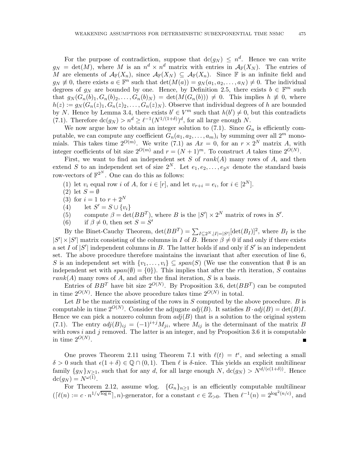For the purpose of contradiction, suppose that  $\text{dc}(g_N) \leq n^d$ . Hence we can write  $g_N = det(M)$ , where M is an  $n^d \times n^d$  matrix with entries in  $\mathcal{A}_{\mathbb{F}}(X_N)$ . The entries of M are elements of  $\mathcal{A}_{\mathbb{F}}(X_n)$ , since  $\mathcal{A}_{\mathbb{F}}(X_N) \subseteq \mathcal{A}_{\mathbb{F}}(X_n)$ . Since  $\mathbb{F}$  is an infinite field and  $g_N \neq 0$ , there exists  $a \in \mathbb{F}^n$  such that  $\det(M(a)) = g_N(a_1, a_2, \ldots, a_N) \neq 0$ . The individual degrees of  $g_N$  are bounded by one. Hence, by Definition 2.5, there exists  $b \in \mathbb{F}^m$  such that  $g_N(G_n(b)_1, G_n(b)_2, \ldots, G_n(b)_N) = \det(M(G_n(b))) \neq 0$ . This implies  $h \neq 0$ , where  $h(z) := g_N(G_n(z)_1, G_n(z)_2, \ldots, G_n(z)_N)$ . Observe that individual degrees of h are bounded by N. Hence by Lemma 3.4, there exists  $b' \in V^m$  such that  $h(b') \neq 0$ , but this contradicts (7.1). Therefore  $\text{dc}(g_N) > n^d \geq \ell^{-1}(N^{1/(1+\delta)})^d$ , for all large enough N.

We now argue how to obtain an integer solution to  $(7.1)$ . Since  $G_n$  is efficiently computable, we can compute any coefficient  $G_n(a_1, a_2, \ldots, a_m)_i$  by summing over all  $2^m$  monomials. This takes time  $2^{O(m)}$ . We write (7.1) as  $Ax = 0$ , for an  $r \times 2^N$  matrix A, with integer coefficients of bit size  $2^{O(m)}$  and  $r = (N+1)^m$ . To construct A takes time  $2^{O(N)}$ .

First, we want to find an independent set S of  $rank(A)$  many rows of A, and then extend S to an independent set of size  $2^N$ . Let  $e_1, e_2, \ldots, e_{2^N}$  denote the standard basis row-vectors of  $\mathbb{F}^{2^N}$ . One can do this as follows:

- (1) let  $v_i$  equal row i of A, for  $i \in [r]$ , and let  $v_{r+i} = e_i$ , for  $i \in [2^N]$ .
- (2) let  $S = \emptyset$
- (3) for  $i = 1$  to  $r + 2^N$
- (4) let  $S' = S \cup \{v_i\}$
- (5) compute  $\beta = \det(BB^T)$ , where B is the  $|S'| \times 2^N$  matrix of rows in S'.
- (6) if  $\beta \neq 0$ , then set  $S = S'$

By the Binet-Cauchy Theorem,  $\det(BB^T) = \sum_{I \subseteq 2^N, |I| = |S'|} [\det(B_I)]^2$ , where  $B_I$  is the  $|S'| \times |S'|$  matrix consisting of the columns in I of B. Hence  $\beta \neq 0$  if and only if there exists a set I of  $|S'|$  independent columns in B. The latter holds if and only if S' is an independent set. The above procedure therefore maintains the invariant that after execution of line 6, S is an independent set with  $\{v_1, \ldots, v_i\} \subseteq span(S)$  (We use the convention that  $\emptyset$  is an independent set with  $span(\emptyset) = \{0\}$ . This implies that after the rth iteration, S contains  $rank(A)$  many rows of A, and after the final iteration, S is a basis.

Entries of  $BB^T$  have bit size  $2^{O(N)}$ . By Proposition 3.6,  $\det(BB^T)$  can be computed in time  $2^{O(N)}$ . Hence the above procedure takes time  $2^{O(N)}$  in total.

Let B be the matrix consisting of the rows in  $S$  computed by the above procedure. B is computable in time  $2^{O(N)}$ . Consider the adjugate  $adj(B)$ . It satisfies  $B \cdot adj(B) = det(B)I$ . Hence we can pick a nonzero column from  $adj(B)$  that is a solution to the original system (7.1). The entry  $adj(B)_{ij} = (-1)^{i+j} M_{ji}$ , where  $M_{ij}$  is the determinant of the matrix B with rows  $i$  and  $j$  removed. The latter is an integer, and by Proposition 3.6 it is computable in time  $2^{O(N)}$ .

One proves Theorem 2.11 using Theorem 7.1 with  $\ell(t) = t^{\epsilon}$ , and selecting a small  $\delta > 0$  such that  $\epsilon(1 + \delta) \in \mathbb{Q} \cap (0, 1)$ . Then  $\ell$  is  $\delta$ -nice. This yields an explicit multilinear family  $\{g_N\}_{N>1}$ , such that for any d, for all large enough  $N$ ,  $\text{dc}(g_N) > N^{d/(\epsilon(1+\delta))}$ . Hence  $\mathrm{dc}(g_N) = N^{\omega(1)}.$ 

For Theorem 2.12, assume wlog.  ${G_n}_{n\geq 1}$  is an efficiently computable multilinear  $(\lceil \ell(n) \rceil = c \cdot n^{1/\sqrt{\log n}} \rceil, n)$ -generator, for a constant  $c \in \mathbb{Z}_{>0}$ . Then  $\ell^{-1}(n) = 2^{\log^2(n/c)}$ , and